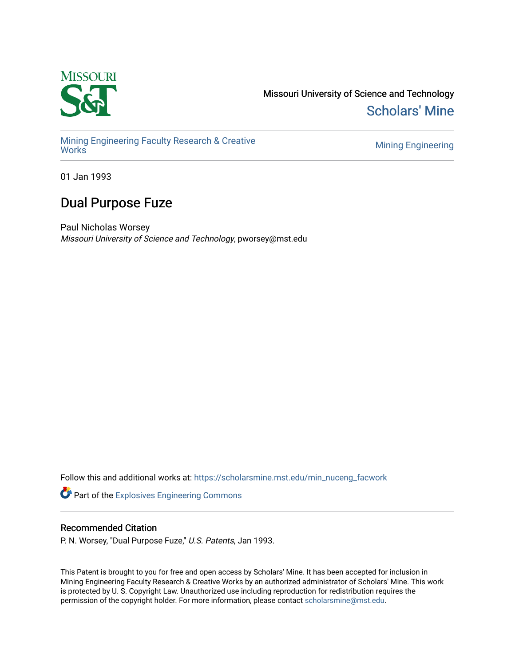

Missouri University of Science and Technology [Scholars' Mine](https://scholarsmine.mst.edu/) 

[Mining Engineering Faculty Research & Creative](https://scholarsmine.mst.edu/min_nuceng_facwork)  [Works](https://scholarsmine.mst.edu/min_nuceng_facwork) [Mining Engineering](https://scholarsmine.mst.edu/min_nuceng) 

01 Jan 1993

# Dual Purpose Fuze

Paul Nicholas Worsey Missouri University of Science and Technology, pworsey@mst.edu

Follow this and additional works at: [https://scholarsmine.mst.edu/min\\_nuceng\\_facwork](https://scholarsmine.mst.edu/min_nuceng_facwork?utm_source=scholarsmine.mst.edu%2Fmin_nuceng_facwork%2F1062&utm_medium=PDF&utm_campaign=PDFCoverPages) 

Part of the [Explosives Engineering Commons](http://network.bepress.com/hgg/discipline/1401?utm_source=scholarsmine.mst.edu%2Fmin_nuceng_facwork%2F1062&utm_medium=PDF&utm_campaign=PDFCoverPages) 

# Recommended Citation

P. N. Worsey, "Dual Purpose Fuze," U.S. Patents, Jan 1993.

This Patent is brought to you for free and open access by Scholars' Mine. It has been accepted for inclusion in Mining Engineering Faculty Research & Creative Works by an authorized administrator of Scholars' Mine. This work is protected by U. S. Copyright Law. Unauthorized use including reproduction for redistribution requires the permission of the copyright holder. For more information, please contact [scholarsmine@mst.edu](mailto:scholarsmine@mst.edu).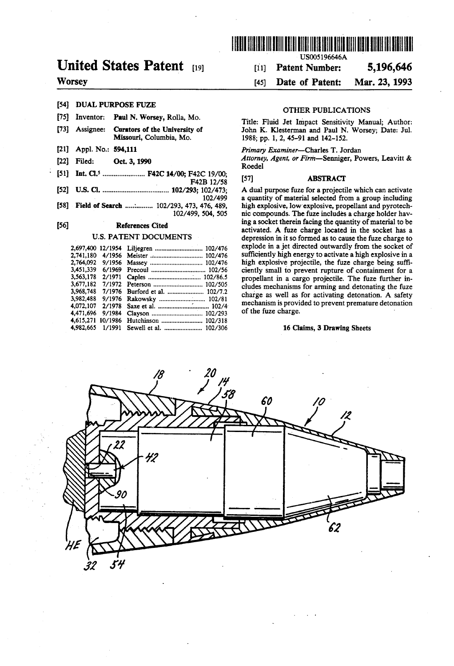

# United States Patent [19] [11] Patent Number: 5,196,646

# Worsey [45] Date of Patent: Mar. 23, 1993

- [54] DUAL PURPOSE FUZE OTHER PUBLICATIONS<br>[75] Inventor: Paul N. Worsey, Rolla, Mo. This Charles of the March 2014
- 
- 
- 
- 
- (51) Int. Cl........................ F42C14/00; F42C 19/00, F1s (57) ABSTRACT
- 
- 

| 2.697.400 12/1954 |         | Liljegren  102/476      |
|-------------------|---------|-------------------------|
| 2.741.180         | 4/1956  | Meister  102/476        |
| 2.764.092         | 9/1956  | Massey  102/476         |
| 3,451,339         | 6/1969  |                         |
| 3.563.178         | 2/1971  |                         |
| 3,677,182         | 7/1972  |                         |
| 3.968.748         | 7/1976  | Burford et al.  102/7.2 |
| 3.982.488         | 9/1976  | Rakowsky  102/81        |
| 4.072.107         | 2/1978  |                         |
| 4.471.696         | 9/1984  |                         |
| 4,615,271         | 10/1986 |                         |
| 4.982.665         | 1/1991  | Sewell et al.  102/306  |

Title: Fluid Jet Impact Sensitivity Manual; Author: [73] Assignee: Curators of the University of John K. Klesterman and Paul N. Worsey; Date: Jul.<br>Missouri, Columbia, Mo. 1988: pp. 1, 2, 45-91 and 142-152. 1988; pp. 1, 2, 45-91 and 142-152.

## [21] Appl. No.: 594,111 Primary Examiner-Charles T. Jordan

[22] Filed: Oct. 3, 1990 Methods Attorney, Agent, or Firm-Senniger, Powers, Leavitt &

102/473; A dual purpose fuze for a projectile which can activate 102/499 a quantity of material selected from a group including [58] Field of Search ................ 102/293, 473, 476, 489, high explosive, low explosive, propellant and pyrotech-<br>102/499, 504, 505 high explosive, low explosive, propellant and pyrotech-<br>102/499, 504, 505 high explosi nic compounds. The fuze includes a charge holder having a socket therein facing the quantity of material to be [56] **Solution References Cited** activated. A fuze charge located in the socket has a activated. A fuze charge located in the socket has a depression in it so formed as to cause the fuze charge to depression in it so formed as to cause the fuze charge to explode in a jet directed outwardly from the socket of sufficiently high energy to activate a high explosive in a high explosive projectile, the fuze charge being sufficiently small to prevent rupture of containment for a : 2. E. SE a a 19:: propellant in a cargo projectile. The fuze further in sw eterson .............................. lud hani f m 3,968,748 7/1976 Burford et al. of EES Eritrating E. charge as well as for activating detonation. A safety mechanism is provided to prevent premature detonation of the fuze charge.

### 16 Claims, 3 Drawing Sheets

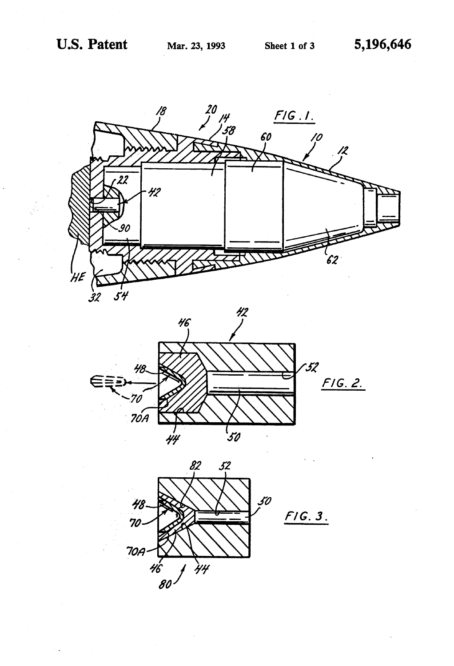



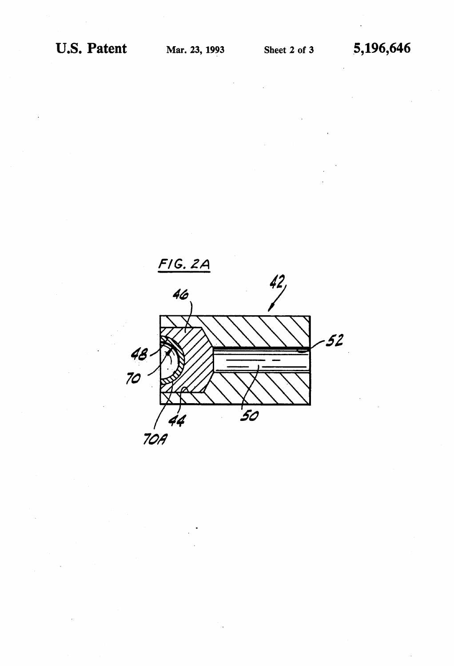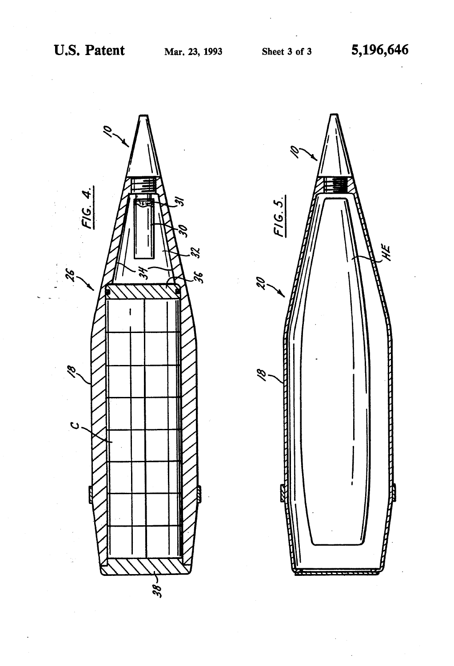

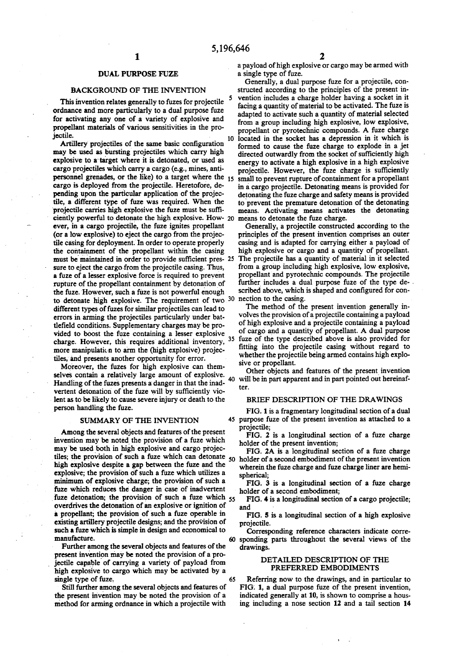## DUAL PURPOSE FUZE

## BACKGROUND OF THE INVENTION

This invention relates generally to fuzes for projectile ordnance and more particularly to a dual purpose fuze for activating any one of a variety of explosive and propellant materials of various sensitivities in the projectile.

Artillery projectiles of the same basic configuration may be used as bursting projectiles which carry high explosive to a target where it is detonated, or used as cargo projectiles which carry a cargo (e.g., mines, anti personnel grenades, or the like) to a target where the 15 cargo is deployed from the projectile. Heretofore, depending upon the particular application of the projectile, a different type of fuze was required. When the projectile carries high explosive the fuze must be suffi ciently powerful to detonate the high explosive. How- 20 ever, in a cargo projectile, the fuze ignites propellant (or a low explosive) to eject the cargo from the projecthe casing for deployment. In order to operate properly the containment of the propellant within the casing the containment of the propellant within the casing must be maintained in order to provide sufficient pres- 25 sure to eject the cargo from the projectile casing. Thus, a fuze of a lesser explosive force is required to prevent rupture of the propellant containment by detonation of the fuze. However, such a fuze is not powerful enough the fuze. However, such a fuze is not powerful enough to detonate high explosive. The requirement of two 30 different types of fuzes for similar projectiles can lead to errors in arming the projectiles particularly under bat-<br>tlefield conditions. Supplementary charges may be provided to boost the fuze containing a lesser explosive charge. However, this requires additional inventory, more manipulation to arm the (high explosive) projectiles, and presents another opportunity for error.

Moreover, the fuzes for high explosive can themselves contain a relatively large amount of explosive. selves contain a relatively large amount of explosive. 40<br>Handling of the fuzes presents a danger in that the inadvertent detonation of the fuze will by sufficiently vio lent as to be likely to cause severe injury or death to the person handling the fuze.

### SUMMARY OF THE INVENTION

Among the several objects and features of the present invention may be noted the provision of a fuze which may be used both in high explosive and cargo projecmay be used both in high explosive and cargo projec-<br>tiles; the provision of such a fuze which can detonate  $\overline{50}$  holder of a second embodiment of the present invention<br>high explosive details a gap between the fuze and high explosive despite a gap between the fuze and the explosive; the provision of such a fuze which utilizes a minimum of explosive charge; the provision of such a fuze which reduces the danger in case of inadvertent fuze which reduces the danger in case of inadvertent fuze detonation; the provision of such a fuze which 55 overdrives the detonation of an explosive or ignition of a propellant; the provision of such a fuze operable in existing artillery projectile designs; and the provision of such a fuze which is simple in design and economical to manufacture.

Further among the several objects and features of the present invention may be noted the provision of a projectile capable of carrying a variety of payload from high explosive to cargo which may be activated by a single type of fuze.<br>Still further among the several objects and features of 65

the present invention may be noted the provision of a method for arming ordnance in which a projectile with a payload of high explosive or cargo may be armed with a single type of fuze.

10 located in the socket has a depression in it which is Generally, a dual purpose fuze for a projectile, con structed according to the principles of the present in vention includes a charge holder having a socket in it facing a quantity of material to be activated. The fuze is from a group including high explosive, low explosive, propellant or pyrotechnic compounds. A fuze charge formed to cause the fuze charge to explode in a jet directed outwardly from the socket of sufficiently high energy to activate a high explosive in a high explosive energy to activate a high explosive in a high explosive projectile. However, the fuze charge is sufficiently small to prevent rupture of containment for a propellant in a cargo projectile. Detonating means is provided for detonating the fuze charge and safety means is provided to prevent the premature detonation of the detonating means. Activating means activates the detonating

Generally, a projectile constructed according to the principles of the present invention comprises an outer casing and is adapted for carrying either a payload of high explosive or cargo and a quantity of propellant. The projectile has a quantity of material in it selected from a group including high explosive, low explosive, propellant and pyrotechnic compounds. The projectile further includes a dual purpose fuze of the type described above, which is shaped and configured for con

35 fuze of the type described above is also provided for The method of the present invention generally involves the provision of a projectile containing a payload of high explosive and a projectile containing a payload<br>of cargo and a quantity of propellant. A dual purpose<br>fuze of the type described above is also provided for<br>fitting into the projectile casing without regard to<br>wheth

sive or propellant.<br>Other objects and features of the present invention will be in part apparent and in part pointed out hereinafter.

### BRIEF DESCRIPTION OF THE DRAWINGS

FIG. 1 is a fragmentary longitudinal section of a dual purpose fuze of the present invention as attached to a projectile;

FIG. 2 is a longitudinal section of a fuze charge holder of the present invention;

FIG. 2A is a longitudinal section of a fuze charge wherein the fuze charge and fuze charge liner are hemispherical;

FIG. 3 is a longitudinal section of a fuze charge holder of a second embodiment;

FIG. 4 is a longitudinal section of a cargo projectile; and

FIG. 5 is a longitudinal section of a high explosive projectile.

60 sponding parts throughout the several views of the Corresponding reference characters indicate corre drawings.

## DETAILED DESCRIPTION OF THE PREFERRED EMBODIMENTS

Referring now to the drawings, and in particular to FIG. 1, a dual purpose fuze of the present invention, indicated generally at 10, is shown to comprise a housing including a nose section 12 and a tail section 14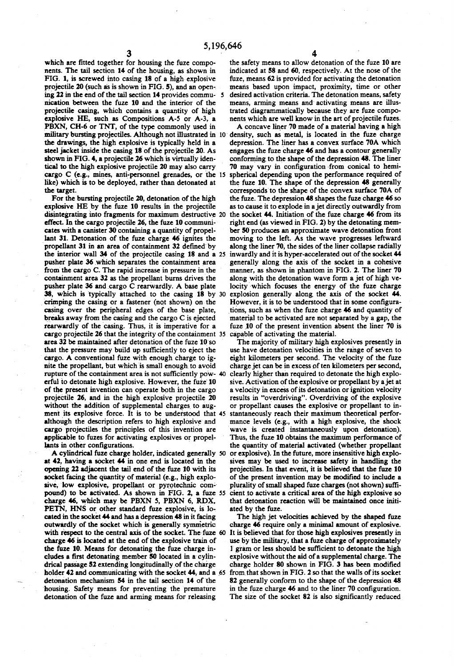which are fitted together for housing the fuze components. The tail section 14 of the housing, as shown in FIG. 1, is screwed into casing 18 of a high explosive FIG. 1, is screwed into casing 18 of a high explosive projectile 20 (such as is shown in FIG. 5), and an open ing 22 in the end of the tail section 14 provides commu 5 nication between the fuze 10 and the interior of the projectile casing, which contains a quantity of high explosive HE, such as Compositions A-5 or A-3, a PBXN, CH-6 or TNT, of the type commonly used in PBXN, CH-6 or TNT, of the type commonly used in military bursting projectiles. Although not illustrated in 10 the drawings, the high explosive is typically held in a steeljacket inside the casing 18 of the projectile 20. As shown in FIG. 4, a projectile 26 which is virtually iden tical to the high explosive projectile 20 may also carry cargo C (e.g., mines, anti-personnel grenades, or the 15 like) which is to be deployed, rather than detonated at the target.<br>For the bursting projectile 20, detonation of the high

For the bursting projectile 20, detonation of the high explosive HE by the fuze 10 results in the projectile disintegrating into fragments for maximum destructive 20 effect. In the cargo projectile 26, the fuze 10 communicates with a canister 30 containing a quantity of propellant 31. Detonation of the fuze charge 46 ignites the propellant 31 in an area of containment 32 defined by propellant 31 in an area of containment 32 defined by the interior wall 34 of the projectile casing 18 and a 25 pusher plate 36 which separates the containment area from the cargo C. The rapid increase in pressure in the containment area 32 as the properiant burns arives the<br>pusher plate 36 and cargo C rearwardly. A base plate<br>38, which is typically attached to the casing 18 by<br>crimping the casing or a fastener (not shown) on the<br>casing ov cargo projectile 20 that the integrity of the containment  $35$ area 32 be maintained after detonation of the fuze 10 so that the pressure may build up sufficiently to eject the cargo. A conventional fuze with enough charge to ignite the propellant, but which is small enough to avoid rupture of the containment area is not sufficiently pow-40 erful to detonate high explosive. However, the fuze 10 of the present invention can operate both in the cargo projectile 26, and in the high explosive projectile 20 without the addition of supplemental charges to augalthough the description refers to high explosive and cargo projectiles the principles of this invention are applicable to fuzes for activating explosives or propel lants in other configurations. 30 ment its explosive force. It is to be understood that 45

A cylindrical fuze charge holder, indicated generally 50 at 42, having a socket 44 in one end is located in the opening 22 adjacent the tail end of the fuze 10 with its socket facing the quantity of material (e.g., high explosive, low explosive, propellant or pyrotechnic compound) to be activated. As shown in FIG. 2, a fuze 55 charge 46, which may be PBXN 5, PBXN 6, RDX, PETN, HNS or other standard fuze explosive, is located in the socket 44 and has a depression 48 in it facing outwardly of the socket which is generally symmetric<br>with respect to the central axis of the socket. The fuze<br>charge 46 is located at the end of the explosive train of the fuze 10. Means for detonating the fuze charge in-<br>cludes a first detonating member 50 located in a cylincludes a first detonating member 50 located in a cylin drical passage 52 extending longitudinally of the charge holder 42 and communicating with the socket 44, and a 65 detonation mechanism 54 in the tail section 14 of the housing. Safety means for preventing the premature detonation of the fuze and arming means for releasing with respect to the central axis of the socket. The fuze 60

the safety means to allow detonation of the fuze 10 are indicated at 58 and 60, respectively. At the nose of the fuze, means 62 is provided for activating the detonation means based upon impact, proximity, time or other desired activation criteria. The detonation means, safety means, arming means and activating means are illus trated diagrammatically because they are fuze compo nents which are well know in the art of projectile fuzes.<br>A concave liner 70 made of a material having a high

A concave liner 70 made of a material having a high density, such as metal, is located in the fuze charge depression. The liner has a convex surface 70A which engages the fuze charge 46 and has a contour generally conforming to the shape of the depression 48. The liner 70 may vary in configuration from conical to hemispherical depending upon the performance required of the fuze 10. The shape of the depression 48 generally corresponds to the shape of the convex surface 70A of the fuze. The depression 48 shapes the fuze charge 46 so as to cause it to explode in a jet directly outwardly from the socket 44. Initiation of the fuze charge 46 from its right end (as viewed in FIG. 2) by the detonating member 50 produces an approximate wave detonation front moving to the left. As the wave progresses leftward along the liner 70, the sides of the liner collapse radially inwardly and it is hyper-accelerated out of the socket 44 generally along the axis of the socket in a cohesive manner, as shown in phantom in FIG. 2. The liner 70 along with the detonation wave form a jet of high velocity which focuses the energy of the fuze charge explosion generally along the axis of the socket 44.<br>However, it is to be understood that in some configurations, such as when the fuze charge 46 and quantity of material to be activated are not separated by a gap, the fuze 10 of the present invention absent the liner 70 is capable of activating the material.

The majority of military high explosives presently in use have detonation velocities in the range of seven to eight kilometers per second. The velocity of the fuze clearly higher than required to detonate the high explosive. Activation of the explosive or propellant by a jet at a velocity in excess of its detonation or ignition velocity results in "overdriving". Overdriving of the explosive or propellant causes the explosive or propellant to in stantaneously reach their maximum theoretical perfor mance levels (e.g., with a high explosive, the shock wave is created instantaneously upon detonation). Thus, the fuze 10 obtains the maximum performance of the quantity of material activated (whether propellant or explosive). In the future, more insensitive high explosives may be used to increase safety in handling the projectiles. In that event, it is believed that the fuze 10 of the present invention may be modified to include a plurality of small shaped fuze charges (not shown) suffi cient to activate a critical area of the high explosive so that detonation reaction will be maintained once initi ated by the fuze.

The high jet velocities achieved by the shaped fuze charge 46 require only a minimal amount of explosive. It is believed that for those high explosives presently in use by the military, that a fuze charge of approximately 1 gram or less should be sufficient to detonate the high explosive without the aid of a supplemental charge. The charge holder 80 shown in FIG. 3 has been modified from that shown in FIG. 2 so that the walls of its socket 82 generally conform to the shape of the depression 48 in the fuze charge 46 and to the liner 70 configuration. The size of the socket 82 is also significantly reduced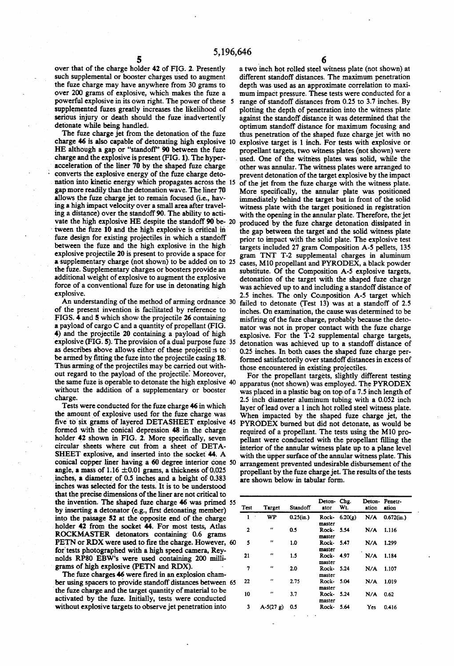5,196,646<br>5<br>over that of the charge holder 42 of FIG. 2. Presently a tw such supplemental or booster charges used to augment<br>the fuze charge may have anywhere from 30 grams to over 200 grams of explosive, which makes the fuze a powerful explosive in its own right. The power of these 5 supplemented fuzes greatly increases the likelihood of serious injury or death should the fuze inadvertently<br>detonate while being handled.<br>The fuze charge jet from the detonation of the fuze

I he fuze charge jet from the detonation of the fuze charge 46 is also capable of detonating high explosive 10 HE although a gap or "standoff" 90 between the fuze<br>charge and the explosive is present (FIG. 1). The hyperacceleration of the liner 70 by the shaped fuze charge converts the explosive energy of the fuze charge detonation into kinetic energy which propagates across the 15 gap more readily than the detonation wave. The liner 70 allows the fuze charge jet to remain focused (i.e., having a high impact velocity over a small area after traveling a distance) over the standoff 90. The ability to acti vate the high explosive HE despite the standoff 90 be- 20 tween the fuze 10 and the high explosive is critical in fuze design for existing projectiles in which a standoff between the fuze and the high explosive in the high explosive projectile 20 is present to provide a space for a supplementary charge (not shown) to be added on to 25 the fuze. Supplementary charges or boosters provide an additional weight of explosive to augment the explosive force of a conventional fuze for use in detonating high explosive.

An understanding of the method of arming ordnance 30 of the present invention is facilitated by reference to FIGS. 4 and 5 which show the projectile 26 containing a payload of cargo C and a quantity of propellant (FIG. 4) and the projectile 20 containing a payload of high as describes above allows either of these projectiles to be armed by fitting the fuze into the projectile casing 18. Thus arming of the projectiles may be carried out with out regard to the payload of the projectile. Moreover, without the addition of a supplementary or booster charge. explosive (FIG. 5). The provision of a dual purpose fuze 35

Tests were conducted for the fuze charge 46 in which the amount of explosive used for the fuze charge was formed with the conical depression 48 in the charge holder 42 shown in FIG. 2. More specifically, seven circular sheets where cut from a sheet of DETA SHEET explosive, and inserted into the socket 44. A angle, a mass of  $1.16 \pm 0.01$  grams, a thickness of 0.025 inches, a diameter of 0.5 inches and a height of 0.383 inches was selected for the tests. It is to be understood that the precise dimensions of the liner are not critical to by inserting a detonator (e.g., first detonating member) into the passage 52 at the opposite end of the charge holder 42 from the socket 44. For most tests, Atlas ROCKMASTER detonators containing 0.6 grams<br>PETN or RDX were used to fire the charge. However, 60 for tests photographed with a high speed camera, Reynolds RP80 EBW's were used containing 200 milligrams of high explosive (PETN and RDX). five to six grams of layered DETASHEET explosive 45 conical copper liner having a 60 degree interior cone 50 the invention. The shaped fuze charge 46 was primed 55

The fuze charges 46 were fired in an explosion cham ber using spacers to provide standoff distances between 65 the fuze charge and the target quantity of material to be activated by the fuze. Initially, tests were conducted without explosive targets to observe jet penetration into

a two inch hot rolled steel witness plate (not shown) at depth was used as an approximate correlation to maximum impact pressure. These tests were conducted for a range of standoff distances from 0.25 to 3.7 inches. By plotting the depth of penetration into the witness plate against the standoff distance it was determined that the optimum standoff distance for maximum focusing and thus penetration of the shaped fuze charge jet with no explosive target is 1 inch. For tests with explosive or propellant targets, two witness plates (not shown) were used. One of the witness plates was solid, while the other was annular. The witness plates were arranged to prevent detonation of the target explosive by the impact of the jet from the fuze charge with the witness plate. More specifically, the annular plate was positioned immediately behind the target but in front of the solid with the opening in the annular plate. Therefore, the jet produced by the fuze charge detonation dissipated in the gap between the target and the solid witness plate prior to impact with the solid plate. The explosive test targets included 27 gram Composition A-5 pellets, 135 gram TNT T-2 supplemental charges in aluminum<br>cases, M10 propellant and PYRODEX, a black powder substitute. Of the Composition A-5 explosive targets, detonation of the target with the shaped fuze charge was achieved up to and including a standoff distance of 2.5 inches. The only Composition A-5 target which failed to detonate (Test 13) was at a standoff of 2.5 inches. On examination, the cause was determined to be misfiring of the fuze charge, probably because the detonator was not in proper contact with the fuze charge explosive. For the  $T-2$  supplemental charge targets, detonation was achieved up to a standoff distance of 0.25 inches. In both cases the shaped fuze charge performed satisfactorily over standoff distances in excess of those encountered in existing projectiles.

For the propellant targets, slightly different testing apparatus (not shown) was employed. The PYRODEX was placed in a plastic bag on top of a 7.5 inch length of 2.5 inch diameter aluminum tubing with a 0.052 inch layer of lead over a 1 inch hot rolled steel witness plate. When impacted by the shaped fuze charge jet, the PYRODEX burned but did not detonate, as would be required of a propellant. The tests using the M10 propellant were conducted with the propellant filling the interior of the annular witness plate up to a plane level with the upper surface of the annular witness plate. This arrangement prevented undesirable disbursement of the propellant by the fuze charge jet. The results of the tests are shown below in tabular form.

| Test           | Target            | Standoff  | Deton Chg.<br>ator   | Wt.              | ation | Deton-Penetr-<br>ation |
|----------------|-------------------|-----------|----------------------|------------------|-------|------------------------|
| 1              | WP                | 0.25(in.) | Rock-<br>master      | 6.20( <b>g</b> ) | N/A   | $0.672$ (in.)          |
| $\overline{2}$ | $\bullet$         | 0.5       | Rock- 5.54<br>master |                  | N/A   | 1.116                  |
| 5              | $^{\prime\prime}$ | 1.0       | Rock- 5.47<br>master |                  | N/A   | 1.299                  |
| 21             | ,,                | 1.5       | Rock- 4.97<br>master |                  | N/A   | 1.184                  |
| 7              | $\bullet$         | 2.0       | Rock- 5.24<br>master |                  | N/A   | 1.107                  |
| 22             | ,,                | 2.75      | Rock- 5.04<br>master |                  | N/A   | 1.019                  |
| 10             | $\bullet$         | 3.7       | Rock-<br>master      | 5.24             | N/A   | 0.62                   |
| 3              | $A-5(27 g)$       | 0.5       | Rock- 5.64           |                  | Yes   | 0.416                  |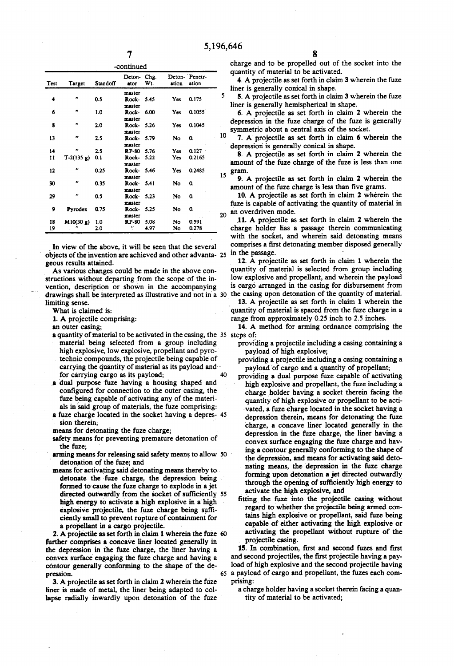| Test | Target       | Standoff | Deton-Chg.<br>ator     | Wt.    | ation      | Deton- Penetr-<br>ation |    |
|------|--------------|----------|------------------------|--------|------------|-------------------------|----|
|      |              |          | master                 |        |            |                         |    |
| 4    | ,,           | 0.5      | Rock-<br>master        | 5.45   | <b>Yes</b> | 0.175                   | 5  |
| 6    | .,           | 1.0      | Rock 6.00              |        | Yes.       | 0.1055                  |    |
| 8    | ,,           | 2.0      | master<br>Rock-        | 5.26   | Yes.       | 0.1045                  |    |
| 13   | ,,           | 2.5      | master<br>Rock-        | 5.79   | No.        | 0.                      | 10 |
|      |              |          | master                 |        |            |                         |    |
| 14   | n            | 2.5      | <b>RP-80</b>           | 5.76   | Yes.       | 0.127                   |    |
| n    | $T-2(135 g)$ | 0.1      | Rock-<br>master        | 5.22   | Yes:       | 0.2165                  |    |
| 12   |              | 0.25     | Rock-<br>master        | - 5.46 | Yes.       | 0.2485                  | 15 |
| 30   | m            | 0.35     | Rock-                  | - 5.41 | <b>No</b>  | 0.                      |    |
| 29   |              | 0.5      | master<br>Rock-        | 5.23   | No         | 0.                      |    |
| 9    | Pyrodex      | 0.75     | master<br>Rock-        | 5.25   | No         | 0.                      |    |
| 18   | M10(30 g)    | 1.0      | master<br><b>RP-80</b> | 5.08   | No         | 0.591                   | 20 |
| 19   |              | 2.0      | ,,                     | 4.97   | No         | 0.278                   |    |

In view of the above, it will be seen that the several objects of the invention are achieved and other advanta- 25 geous results attained.

As various changes could be made in the above con structions without departing from the scope of the invention, description or shown in the accompanying vention, description or shown in the accompanying drawings shall be interpreted as illustrative and not in a 30 limiting sense.

What is claimed is:

1. A projectile comprising:

an outer casing;

- a quantity of material to be activated in the casing, the 35 material being selected from a group including high explosive, low explosive, propellant and pyrotechnic compounds, the projectile being capable of carrying the quantity of material as its payload and for carrying cargo as its payload; 40
- a dual purpose fuze having a housing shaped and configured for connection to the outer casing, the fuze being capable of activating any of the materi als in said group of materials, the fuze comprising:
- a fuze charge located in the socket having a depres-45

sion therein;<br>means for detonating the fuze charge;

safety means for preventing premature detonation of the fuze;

- arming means for releasing said safety means to allow 50 detonation of the fuze; and<br>means for activating said detonating means thereby to
- detonate the fuze charge, the depression being formed to cause the fuze charge to explode in a jet directed outwardly from the socket of sufficiently high energy to activate a high explosive in a high directed outwardly from the socket of sufficiently 55 explosive projectile, the fuze charge being sufficiently small to prevent rupture of containment for a propellant in a cargo projectile.

2. A projectile as set forth in claim 1 wherein the fuze 60 further comprises a concave liner located generally in the depression in the fuze charge, the liner having a convex surface engaging the fuze charge and having a contour generally conforming to the shape of the de pression.

3. A projectile as set forth in claim 2 wherein the fuze liner is made of metal, the liner being adapted to col lapse radially inwardly upon detonation of the fuze charge and to be propelled out of the socket into the quantity of material to be activated.

4. A projectile as set forth in claim 3 wherein the fuze liner is generally conical in shape.

5. A projectile as set forth in claim 3 wherein the fuze liner is generally hemispherical in shape.

6. A projectile as set forth in claim 2 wherein the depression in the fuze charge of the fuze is generally symmetric about a central axis of the socket.

7. A projectile as set forth in claim 6 wherein the depression is generally conical in shape.

8. A projectile as set forth in claim 2 wherein the amount of the fuze charge of the fuze is less than one gram.

9. A projectile as set forth in claim 2 wherein the amount of the fuze charge is less than five grams.

10. A projectile as set forth in claim 2 wherein the fuze is capable of activating the quantity of material in an overdriven mode.

11. A projectile as set forth in claim 2 wherein the charge holder has a passage therein communicating with the socket, and wherein said detonating means comprises a first detonating member disposed generally in the passage.

12. A projectile as set forth in claim 1 wherein the quantity of material is selected from group including low explosive and propellant, and wherein the payload is cargo arranged in the casing for disbursement from the casing upon detonation of the quantity of material.

13. A projectile as set forth in claim 1 wherein the quantity of material is spaced from the fuze charge in a range from approximately 0.25 inch to 2.5 inches.

14. A method for arming ordnance comprising the

- providing a projectile including a casing containing a payload of high explosive;
- providing a projectile including a casing containing a
- payload of cargo and a quantity of propellant; providing a dual purpose fuze capable of activating high explosive and propellant, the fuze including a charge holder having a socket therein facing the quantity of high explosive or propellant to be acti vated, a fuze charge located in the socket having a depression therein, means for detonating the fuze<br>charge, a concave liner located generally in the depression in the fuze charge, the liner having a convex surface engaging the fuze charge and hav ing a contour generally conforming to the shape of the depression, and means for activating said deto-<br>nating means, the depression in the fuze charge forming upon detonation a jet directed outwardly through the opening of sufficiently high energy to activate the high explosive, and
- fitting the fuze into the projectile casing without regard to whether the projectile being armed contains high explosive or propellant, said fuze being capable of either activating the high explosive or activating the propellant without rupture of the projectile casing.

65 a payload of cargo and propellant, the fuzes each com 15. In combination, first and second fuzes and first load of high explosive and the second projectile having prising:

a charge holder having a socket therein facing a quan tity of material to be activated;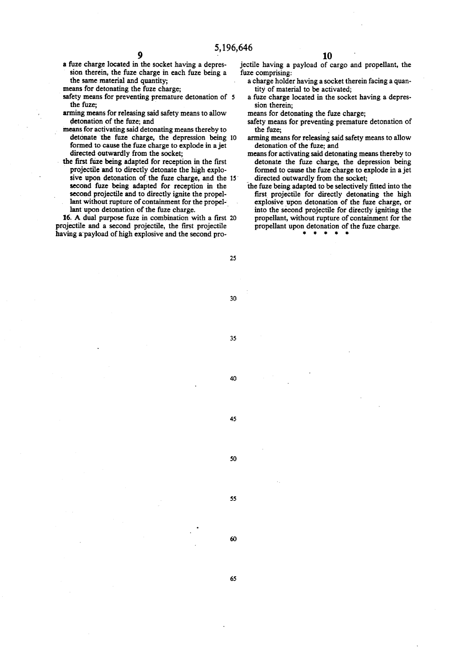5,196,646<br>a fuze charge located in the socket having a depres- jection sion therein, the fuze charge in each fuze being a

- safety means for preventing premature detonation of 5 the fuze;
- arming means for releasing said safety means to allow detonation of the fuze; and
- means for activating said detonating means thereby to formed to cause the fuze charge to explode in a jet directed outwardly from the socket; detonate the fuze charge, the depression being 10
- the first fuze being adapted for reception in the first projectile and to directly detonate the high explosive upon detonation of the fuze charge, and the 15 second fuze being adapted for reception in the second projectile and to directly ignite the propelsecond projectile and to directly ignite the propel-<br>lant without rupture of containment for the propel-<br>lant upon detonation of the fuze charge.<br>16. A dual purpose fuze in combination with a first 20

projectile and a second projectile, the first projectile having a payload of high explosive and the second pro

jectile having a payload of cargo and propellant, the

- the same material and quantity; a charge holder having a socket the means for detonating the fuze charge; the same means for detonating the fuze charge; a charge holder having a socket therein facing a quan
	- a fuze charge located in the socket having a depres sion therein;<br>means for detonating the fuze charge;

- safety means for preventing premature detonation of the fuze;
- arming means for releasing said safety means to allow detonation of the fuze; and
- means for activating said detonating means thereby to detonate the fuze charge, the depression being formed to cause the fuze charge to explode in a jet directed outwardly from the socket;
- the fuze being adapted to be selectively fitted into the first projectile for directly detonating the high explosive upon detonation of the fuze charge, or into the second projectile for directly igniting the propellant, without rupture of containment for the propellant upon detonation of the fuze charge.

25

30

35

40

45

50

55

60

65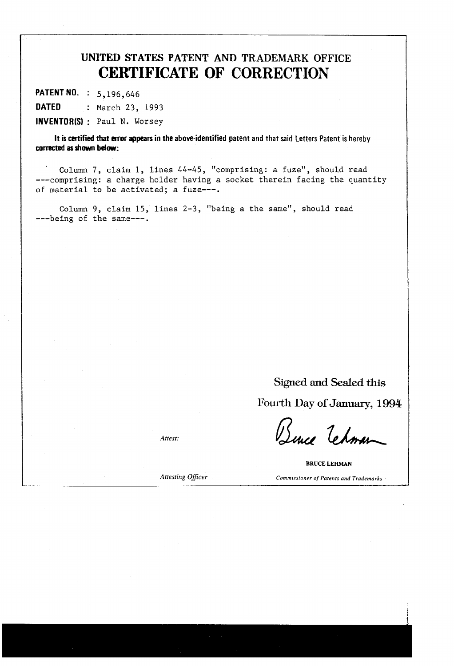# UNITED STATES PATENT AND TRADEMARK OFFICE CERTIFICATE OF CORRECTION

PATENT NO. : 5,196,646 DATED : March 23, 1993 INVENTOR(S) : Paul N. Worsey

It is certified that error appears in the above-identified patent and that said Letters Patent is hereby corrected as shown below:

Column 7, claim l, lines 44-45, 'comprising: a fuze', should read ---comprising: a charge holder having a Socket therein facing the quantity of material to be activated; a fuze---.

Column 9, claim 15, lines 2-3, "being a the same', should read ---being of the same---.

> Signed and Sealed this Fourth Day of January, 1994

Attest: Bence Tehman

**BRUCE LEHMAN** Attesting Officer Commissioner of Patents and Trademarks